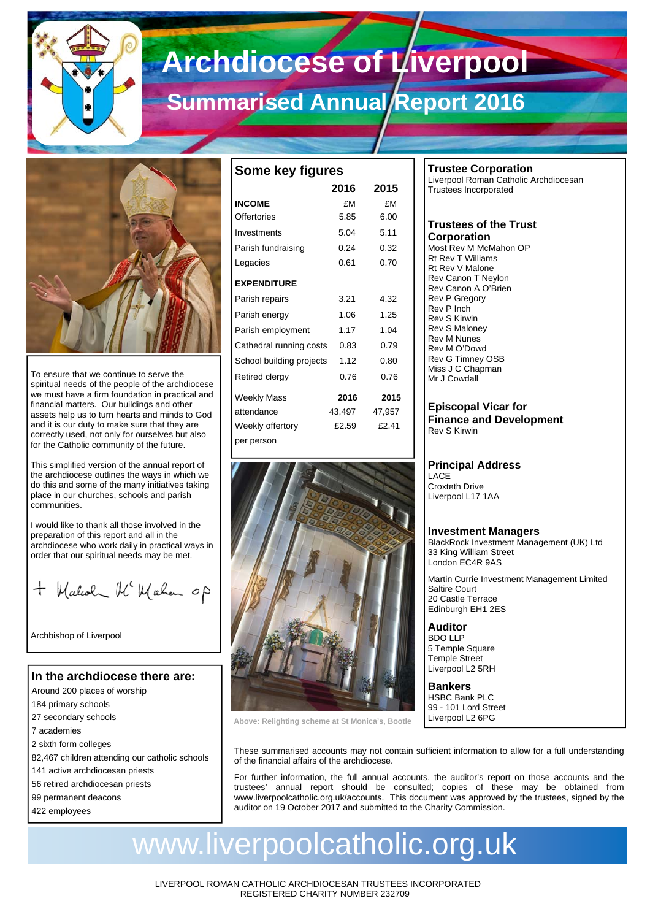

# **Archdiocese of Liverpool**

# **Summarised Annual Report 2016**



To ensure that we continue to serve the spiritual needs of the people of the archdiocese we must have a firm foundation in practical and financial matters. Our buildings and other assets help us to turn hearts and minds to God and it is our duty to make sure that they are correctly used, not only for ourselves but also for the Catholic community of the future.

This simplified version of the annual report of the archdiocese outlines the ways in which we do this and some of the many initiatives taking place in our churches, schools and parish communities.

I would like to thank all those involved in the preparation of this report and all in the archdiocese who work daily in practical ways in order that our spiritual needs may be met.

+ Walcolm Mc Walen op

Archbishop of Liverpool

### **In the archdiocese there are:**

- Around 200 places of worship
- 184 primary schools
- 27 secondary schools
- 7 academies
- 2 sixth form colleges
- 82,467 children attending our catholic schools
- 141 active archdiocesan priests
- 56 retired archdiocesan priests
- 99 permanent deacons
- 422 employees

| Some key figures         |        |        |  |  |  |  |
|--------------------------|--------|--------|--|--|--|--|
|                          | 2016   | 2015   |  |  |  |  |
| <b>INCOME</b>            | £Μ     | £М     |  |  |  |  |
| Offertories              | 5.85   | 6.00   |  |  |  |  |
| Investments              | 5.04   | 5.11   |  |  |  |  |
| Parish fundraising       | 0.24   | 0.32   |  |  |  |  |
| Legacies                 | 0.61   | 0.70   |  |  |  |  |
| <b>EXPENDITURE</b>       |        |        |  |  |  |  |
| Parish repairs           | 3.21   | 4.32   |  |  |  |  |
| Parish energy            | 1.06   | 1.25   |  |  |  |  |
| Parish employment        | 1.17   | 1.04   |  |  |  |  |
| Cathedral running costs  | 0.83   | 0.79   |  |  |  |  |
| School building projects | 1.12   | 0.80   |  |  |  |  |
| Retired clergy           | 0.76   | 0.76   |  |  |  |  |
| <b>Weekly Mass</b>       | 2016   | 2015   |  |  |  |  |
| attendance               | 43,497 | 47,957 |  |  |  |  |
| Weekly offertory         | £2.59  | f2.41  |  |  |  |  |
| per person               |        |        |  |  |  |  |



**Above: Relighting scheme at St Monica's, Bootle** 

# **Trustee Corporation**

Liverpool Roman Catholic Archdiocesan Trustees Incorporated

#### **Trustees of the Trust Corporation**

Most Rev M McMahon OP Rt Rev T Williams Rt Rev V Malone Rev Canon T Neylon Rev Canon A O'Brien Rev P Gregory Rev P Inch Rev S Kirwin Rev S Maloney Rev M Nunes Rev M O'Dowd Rev G Timney OSB Miss J C Chapman Mr J Cowdall

**Episcopal Vicar for Finance and Development**  Rev S Kirwin

### **Principal Address**

**LACE** Croxteth Drive Liverpool L17 1AA

#### **Investment Managers**

BlackRock Investment Management (UK) Ltd 33 King William Street London EC4R 9AS

Martin Currie Investment Management Limited Saltire Court 20 Castle Terrace Edinburgh EH1 2ES

**Auditor**  BDO LLP 5 Temple Square Temple Street Liverpool L2 5RH

**Bankers**  HSBC Bank PLC 99 - 101 Lord Street Liverpool L2 6PG

These summarised accounts may not contain sufficient information to allow for a full understanding of the financial affairs of the archdiocese.

For further information, the full annual accounts, the auditor's report on those accounts and the trustees' annual report should be consulted; copies of these may be obtained from www.liverpoolcatholic.org.uk/accounts. This document was approved by the trustees, signed by the auditor on 19 October 2017 and submitted to the Charity Commission.

# www.liverpoolcatholic.org.uk

LIVERPOOL ROMAN CATHOLIC ARCHDIOCESAN TRUSTEES INCORPORATED REGISTERED CHARITY NUMBER 232709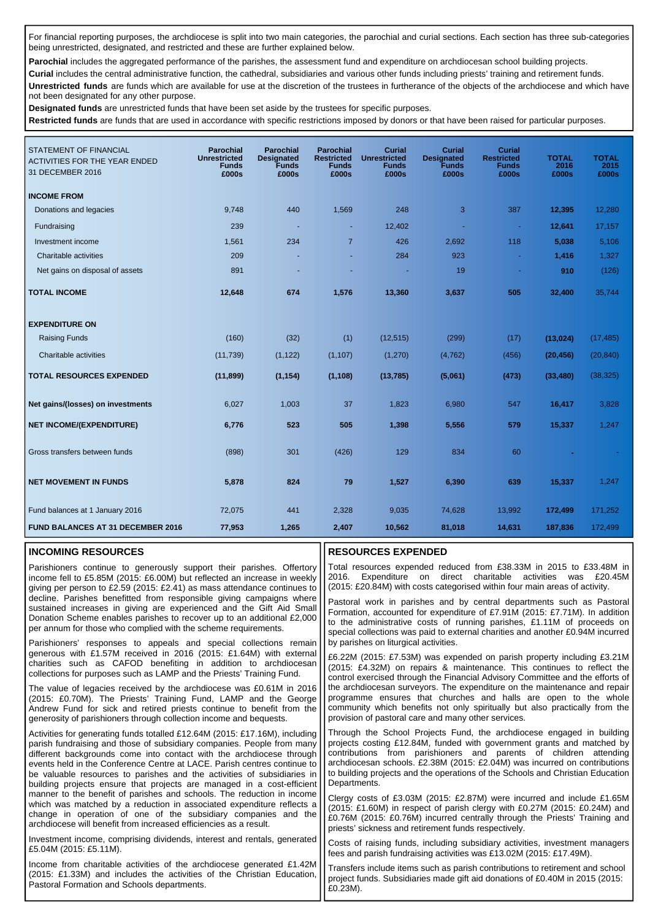For financial reporting purposes, the archdiocese is split into two main categories, the parochial and curial sections. Each section has three sub-categories being unrestricted, designated, and restricted and these are further explained below.

Parochial includes the aggregated performance of the parishes, the assessment fund and expenditure on archdiocesan school building projects.

**Curial** includes the central administrative function, the cathedral, subsidiaries and various other funds including priests' training and retirement funds. **Unrestricted funds** are funds which are available for use at the discretion of the trustees in furtherance of the objects of the archdiocese and which have not been designated for any other purpose.

**Designated funds** are unrestricted funds that have been set aside by the trustees for specific purposes.

**Restricted funds** are funds that are used in accordance with specific restrictions imposed by donors or that have been raised for particular purposes.

| <b>STATEMENT OF FINANCIAL</b><br><b>ACTIVITIES FOR THE YEAR ENDED</b><br>31 DECEMBER 2016 | <b>Parochial</b><br><b>Unrestricted</b><br><b>Funds</b><br>£000s | <b>Parochial</b><br><b>Designated</b><br><b>Funds</b><br>£000s | <b>Parochial</b><br><b>Restricted</b><br><b>Funds</b><br>£000s | <b>Curial</b><br><b>Unrestricted</b><br><b>Funds</b><br>£000s | <b>Curial</b><br><b>Designated</b><br><b>Funds</b><br>£000s | Curial<br><b>Restricted</b><br><b>Funds</b><br>£000s | <b>TOTAL</b><br>2016<br>£000s | <b>TOTAL</b><br>2015<br>£000s |
|-------------------------------------------------------------------------------------------|------------------------------------------------------------------|----------------------------------------------------------------|----------------------------------------------------------------|---------------------------------------------------------------|-------------------------------------------------------------|------------------------------------------------------|-------------------------------|-------------------------------|
| <b>INCOME FROM</b>                                                                        |                                                                  |                                                                |                                                                |                                                               |                                                             |                                                      |                               |                               |
| Donations and legacies                                                                    | 9,748                                                            | 440                                                            | 1,569                                                          | 248                                                           | 3                                                           | 387                                                  | 12,395                        | 12,280                        |
| Fundraising                                                                               | 239                                                              | $\overline{\phantom{a}}$                                       | ÷,                                                             | 12,402                                                        |                                                             | $\blacksquare$                                       | 12,641                        | 17,157                        |
| Investment income                                                                         | 1,561                                                            | 234                                                            | $\overline{7}$                                                 | 426                                                           | 2,692                                                       | 118                                                  | 5,038                         | 5,106                         |
| Charitable activities                                                                     | 209                                                              |                                                                |                                                                | 284                                                           | 923                                                         | $\blacksquare$                                       | 1,416                         | 1,327                         |
| Net gains on disposal of assets                                                           | 891                                                              |                                                                |                                                                |                                                               | 19                                                          | ٠                                                    | 910                           | (126)                         |
| <b>TOTAL INCOME</b>                                                                       | 12,648                                                           | 674                                                            | 1,576                                                          | 13,360                                                        | 3,637                                                       | 505                                                  | 32,400                        | 35,744                        |
| <b>EXPENDITURE ON</b>                                                                     |                                                                  |                                                                |                                                                |                                                               |                                                             |                                                      |                               |                               |
| <b>Raising Funds</b>                                                                      | (160)                                                            | (32)                                                           | (1)                                                            | (12, 515)                                                     | (299)                                                       | (17)                                                 | (13, 024)                     | (17, 485)                     |
| Charitable activities                                                                     | (11, 739)                                                        | (1, 122)                                                       | (1, 107)                                                       | (1,270)                                                       | (4, 762)                                                    | (456)                                                | (20, 456)                     | (20, 840)                     |
| <b>TOTAL RESOURCES EXPENDED</b>                                                           | (11, 899)                                                        | (1, 154)                                                       | (1, 108)                                                       | (13,785)                                                      | (5,061)                                                     | (473)                                                | (33, 480)                     | (38, 325)                     |
| Net gains/(losses) on investments                                                         | 6,027                                                            | 1,003                                                          | 37                                                             | 1,823                                                         | 6,980                                                       | 547                                                  | 16,417                        | 3,828                         |
| <b>NET INCOME/(EXPENDITURE)</b>                                                           | 6,776                                                            | 523                                                            | 505                                                            | 1,398                                                         | 5,556                                                       | 579                                                  | 15,337                        | 1,247                         |
| Gross transfers between funds                                                             | (898)                                                            | 301                                                            | (426)                                                          | 129                                                           | 834                                                         | 60                                                   |                               |                               |
| <b>NET MOVEMENT IN FUNDS</b>                                                              | 5,878                                                            | 824                                                            | 79                                                             | 1,527                                                         | 6,390                                                       | 639                                                  | 15,337                        | 1,247                         |
| Fund balances at 1 January 2016                                                           | 72,075                                                           | 441                                                            | 2,328                                                          | 9,035                                                         | 74,628                                                      | 13,992                                               | 172,499                       | 171,252                       |
| <b>FUND BALANCES AT 31 DECEMBER 2016</b>                                                  | 77,953                                                           | 1,265                                                          | 2,407                                                          | 10,562                                                        | 81,018                                                      | 14,631                                               | 187,836                       | 172,499                       |

#### **INCOMING RESOURCES**

Parishioners continue to generously support their parishes. Offertory income fell to £5.85M (2015: £6.00M) but reflected an increase in weekly giving per person to £2.59 (2015: £2.41) as mass attendance continues to decline. Parishes benefitted from responsible giving campaigns where sustained increases in giving are experienced and the Gift Aid Small Donation Scheme enables parishes to recover up to an additional £2,000 per annum for those who complied with the scheme requirements.

Parishioners' responses to appeals and special collections remain generous with £1.57M received in 2016 (2015: £1.64M) with external charities such as CAFOD benefiting in addition to archdiocesan collections for purposes such as LAMP and the Priests' Training Fund.

The value of legacies received by the archdiocese was £0.61M in 2016 (2015: £0.70M). The Priests' Training Fund, LAMP and the George Andrew Fund for sick and retired priests continue to benefit from the generosity of parishioners through collection income and bequests.

Activities for generating funds totalled £12.64M (2015: £17.16M), including parish fundraising and those of subsidiary companies. People from many different backgrounds come into contact with the archdiocese through events held in the Conference Centre at LACE. Parish centres continue to be valuable resources to parishes and the activities of subsidiaries in building projects ensure that projects are managed in a cost-efficient manner to the benefit of parishes and schools. The reduction in income which was matched by a reduction in associated expenditure reflects a change in operation of one of the subsidiary companies and the archdiocese will benefit from increased efficiencies as a result.

Investment income, comprising dividends, interest and rentals, generated £5.04M (2015: £5.11M).

Income from charitable activities of the archdiocese generated £1.42M (2015: £1.33M) and includes the activities of the Christian Education, Pastoral Formation and Schools departments.

#### **RESOURCES EXPENDED**

Total resources expended reduced from £38.33M in 2015 to £33.48M in 2016. Expenditure on direct charitable activities was £20.45M (2015: £20.84M) with costs categorised within four main areas of activity.

Pastoral work in parishes and by central departments such as Pastoral Formation, accounted for expenditure of £7.91M (2015: £7.71M). In addition to the administrative costs of running parishes, £1.11M of proceeds on special collections was paid to external charities and another £0.94M incurred by parishes on liturgical activities.

£6.22M (2015: £7.53M) was expended on parish property including £3.21M (2015: £4.32M) on repairs & maintenance. This continues to reflect the control exercised through the Financial Advisory Committee and the efforts of the archdiocesan surveyors. The expenditure on the maintenance and repair programme ensures that churches and halls are open to the whole community which benefits not only spiritually but also practically from the provision of pastoral care and many other services.

Through the School Projects Fund, the archdiocese engaged in building projects costing £12.84M, funded with government grants and matched by contributions from parishioners and parents of children attending archdiocesan schools. £2.38M (2015: £2.04M) was incurred on contributions to building projects and the operations of the Schools and Christian Education Departments.

Clergy costs of £3.03M (2015: £2.87M) were incurred and include £1.65M (2015: £1.60M) in respect of parish clergy with £0.27M (2015: £0.24M) and £0.76M (2015: £0.76M) incurred centrally through the Priests' Training and priests' sickness and retirement funds respectively.

Costs of raising funds, including subsidiary activities, investment managers fees and parish fundraising activities was £13.02M (2015: £17.49M).

Transfers include items such as parish contributions to retirement and school project funds. Subsidiaries made gift aid donations of £0.40M in 2015 (2015:  $F(0.23M)$ .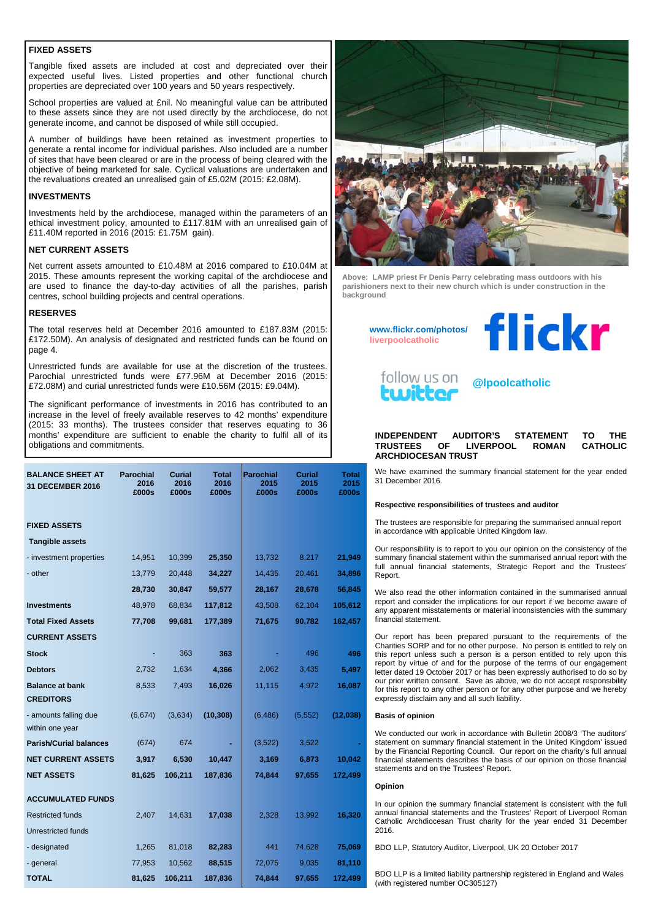#### **FIXED ASSETS**

Tangible fixed assets are included at cost and depreciated over their expected useful lives. Listed properties and other functional church properties are depreciated over 100 years and 50 years respectively.

School properties are valued at £nil. No meaningful value can be attributed to these assets since they are not used directly by the archdiocese, do not generate income, and cannot be disposed of while still occupied.

A number of buildings have been retained as investment properties to generate a rental income for individual parishes. Also included are a number of sites that have been cleared or are in the process of being cleared with the objective of being marketed for sale. Cyclical valuations are undertaken and the revaluations created an unrealised gain of £5.02M (2015: £2.08M).

#### **INVESTMENTS**

Investments held by the archdiocese, managed within the parameters of an ethical investment policy, amounted to £117.81M with an unrealised gain of £11.40M reported in 2016 (2015: £1.75M gain).

#### **NET CURRENT ASSETS**

Net current assets amounted to £10.48M at 2016 compared to £10.04M at 2015. These amounts represent the working capital of the archdiocese and are used to finance the day-to-day activities of all the parishes, parish centres, school building projects and central operations.

#### **RESERVES**

The total reserves held at December 2016 amounted to £187.83M (2015: £172.50M). An analysis of designated and restricted funds can be found on page 4.

Unrestricted funds are available for use at the discretion of the trustees. Parochial unrestricted funds were £77.96M at December 2016 (2015: £72.08M) and curial unrestricted funds were £10.56M (2015: £9.04M).

The significant performance of investments in 2016 has contributed to an increase in the level of freely available reserves to 42 months' expenditure (2015: 33 months). The trustees consider that reserves equating to 36 months' expenditure are sufficient to enable the charity to fulfil all of its obligations and commitments.

| <b>BALANCE SHEET AT</b><br>31 DECEMBER 2016 | <b>Parochial</b><br>2016<br>£000s | Curial<br>2016<br>£000s | <b>Total</b><br>2016<br>£000s | <b>Parochial</b><br>2015<br>£000s | <b>Curial</b><br>2015<br>£000s | Total<br>2015<br>£000s |
|---------------------------------------------|-----------------------------------|-------------------------|-------------------------------|-----------------------------------|--------------------------------|------------------------|
| <b>FIXED ASSETS</b>                         |                                   |                         |                               |                                   |                                |                        |
| <b>Tangible assets</b>                      |                                   |                         |                               |                                   |                                |                        |
| - investment properties                     | 14,951                            | 10,399                  | 25,350                        | 13,732                            | 8,217                          | 21,949                 |
| - other                                     | 13,779                            | 20,448                  | 34,227                        | 14,435                            | 20,461                         | 34,896                 |
|                                             | 28,730                            | 30,847                  | 59,577                        | 28,167                            | 28,678                         | 56,845                 |
| <b>Investments</b>                          | 48,978                            | 68,834                  | 117,812                       | 43,508                            | 62,104                         | 105,612                |
| <b>Total Fixed Assets</b>                   | 77,708                            | 99,681                  | 177,389                       | 71,675                            | 90,782                         | 162,457                |
| <b>CURRENT ASSETS</b>                       |                                   |                         |                               |                                   |                                |                        |
| Stock                                       |                                   | 363                     | 363                           |                                   | 496                            | 496                    |
| <b>Debtors</b>                              | 2,732                             | 1,634                   | 4,366                         | 2,062                             | 3,435                          | 5,497                  |
| <b>Balance at bank</b>                      | 8,533                             | 7,493                   | 16,026                        | 11,115                            | 4,972                          | 16,087                 |
| <b>CREDITORS</b>                            |                                   |                         |                               |                                   |                                |                        |
| - amounts falling due                       | (6,674)                           | (3,634)                 | (10, 308)                     | (6, 486)                          | (5, 552)                       | (12,038)               |
| within one year                             |                                   |                         |                               |                                   |                                |                        |
| <b>Parish/Curial balances</b>               | (674)                             | 674                     |                               | (3,522)                           | 3,522                          |                        |
| <b>NET CURRENT ASSETS</b>                   | 3,917                             | 6,530                   | 10,447                        | 3,169                             | 6,873                          | 10,042                 |
| <b>NET ASSETS</b>                           | 81,625                            | 106,211                 | 187,836                       | 74,844                            | 97,655                         | 172,499                |
| <b>ACCUMULATED FUNDS</b>                    |                                   |                         |                               |                                   |                                |                        |
| <b>Restricted funds</b>                     | 2,407                             | 14,631                  | 17,038                        | 2,328                             | 13,992                         | 16,320                 |
| Unrestricted funds                          |                                   |                         |                               |                                   |                                |                        |
| - designated                                | 1,265                             | 81,018                  | 82,283                        | 441                               | 74,628                         | 75,069                 |
| - general                                   | 77,953                            | 10,562                  | 88,515                        | 72,075                            | 9,035                          | 81,110                 |
| <b>TOTAL</b>                                | 81,625                            | 106,211                 | 187,836                       | 74,844                            | 97,655                         | 172,499                |



**Above: LAMP priest Fr Denis Parry celebrating mass outdoors with his parishioners next to their new church which is under construction in the background** 

**www.flickr.com/photos/ liverpoolcatholic**





**@lpoolcatholic** 

#### **INDEPENDENT AUDITOR'S STATEMENT TO THE TRUSTEES OF LIVERPOOL ROMAN ARCHDIOCESAN TRUST**

We have examined the summary financial statement for the year ended 31 December 2016.

#### **Respective responsibilities of trustees and auditor**

The trustees are responsible for preparing the summarised annual report in accordance with applicable United Kingdom law.

Our responsibility is to report to you our opinion on the consistency of the summary financial statement within the summarised annual report with the full annual financial statements, Strategic Report and the Trustees' Report.

We also read the other information contained in the summarised annual report and consider the implications for our report if we become aware of any apparent misstatements or material inconsistencies with the summary financial statement.

Our report has been prepared pursuant to the requirements of the Charities SORP and for no other purpose. No person is entitled to rely on this report unless such a person is a person entitled to rely upon this report by virtue of and for the purpose of the terms of our engagement letter dated 19 October 2017 or has been expressly authorised to do so by our prior written consent. Save as above, we do not accept responsibility for this report to any other person or for any other purpose and we hereby expressly disclaim any and all such liability.

#### **Basis of opinion**

We conducted our work in accordance with Bulletin 2008/3 'The auditors' statement on summary financial statement in the United Kingdom' issued by the Financial Reporting Council. Our report on the charity's full annual financial statements describes the basis of our opinion on those financial statements and on the Trustees' Report.

#### **Opinion**

In our opinion the summary financial statement is consistent with the full annual financial statements and the Trustees' Report of Liverpool Roman Catholic Archdiocesan Trust charity for the year ended 31 December 2016.

BDO LLP, Statutory Auditor, Liverpool, UK 20 October 2017

BDO LLP is a limited liability partnership registered in England and Wales (with registered number OC305127)